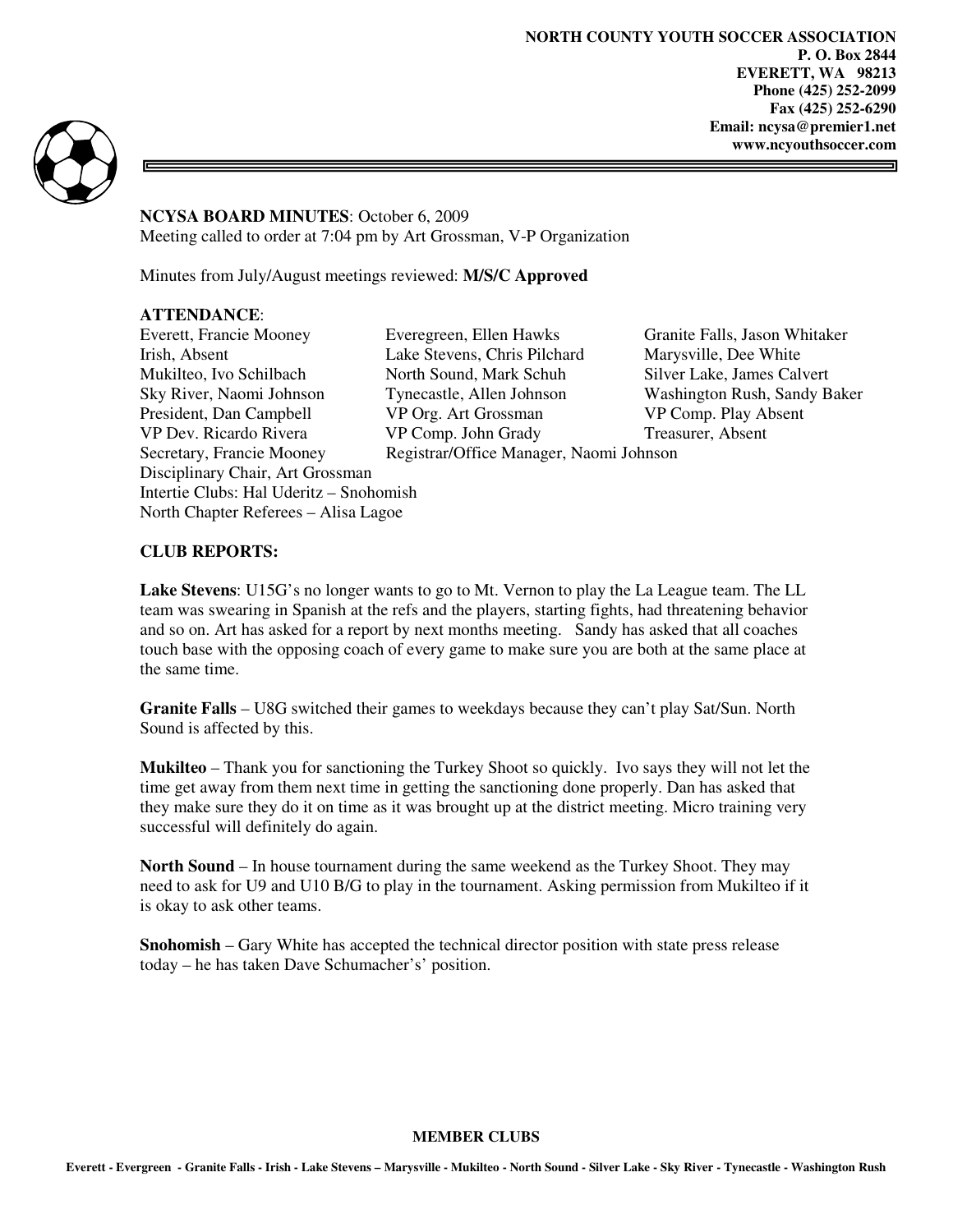**NORTH COUNTY YOUTH SOCCER ASSOCIATION P. O. Box 2844 EVERETT, WA 98213 Phone (425) 252-2099 Fax (425) 252-6290 Email: ncysa@premier1.net www.ncyouthsoccer.com** 



**NCYSA BOARD MINUTES**: October 6, 2009 Meeting called to order at 7:04 pm by Art Grossman, V-P Organization

Minutes from July/August meetings reviewed: **M/S/C Approved** 

#### **ATTENDANCE**:

Everett, Francie Mooney Everegreen, Ellen Hawks Granite Falls, Jason Whitaker Irish, Absent Lake Stevens, Chris Pilchard Marysville, Dee White Mukilteo, Ivo Schilbach North Sound, Mark Schuh Silver Lake, James Calvert<br>Sky River, Naomi Johnson Tynecastle, Allen Johnson Washington Rush, Sandy B Sky River, Naomi Johnson Tynecastle, Allen Johnson Washington Rush, Sandy Baker<br>President. Dan Campbell VP Org. Art Grossman VP Comp. Play Absent VP Dev. Ricardo Rivera VP Comp. John Grady Treasurer, Absent Secretary, Francie Mooney Registrar/Office Manager, Naomi Johnson Disciplinary Chair, Art Grossman Intertie Clubs: Hal Uderitz – Snohomish North Chapter Referees – Alisa Lagoe

VP Org. Art Grossman VP Comp. Play Absent

#### **CLUB REPORTS:**

**Lake Stevens**: U15G's no longer wants to go to Mt. Vernon to play the La League team. The LL team was swearing in Spanish at the refs and the players, starting fights, had threatening behavior and so on. Art has asked for a report by next months meeting. Sandy has asked that all coaches touch base with the opposing coach of every game to make sure you are both at the same place at the same time.

**Granite Falls** – U8G switched their games to weekdays because they can't play Sat/Sun. North Sound is affected by this.

**Mukilteo** – Thank you for sanctioning the Turkey Shoot so quickly. Ivo says they will not let the time get away from them next time in getting the sanctioning done properly. Dan has asked that they make sure they do it on time as it was brought up at the district meeting. Micro training very successful will definitely do again.

**North Sound** – In house tournament during the same weekend as the Turkey Shoot. They may need to ask for U9 and U10 B/G to play in the tournament. Asking permission from Mukilteo if it is okay to ask other teams.

**Snohomish** – Gary White has accepted the technical director position with state press release today – he has taken Dave Schumacher's' position.

#### **MEMBER CLUBS**